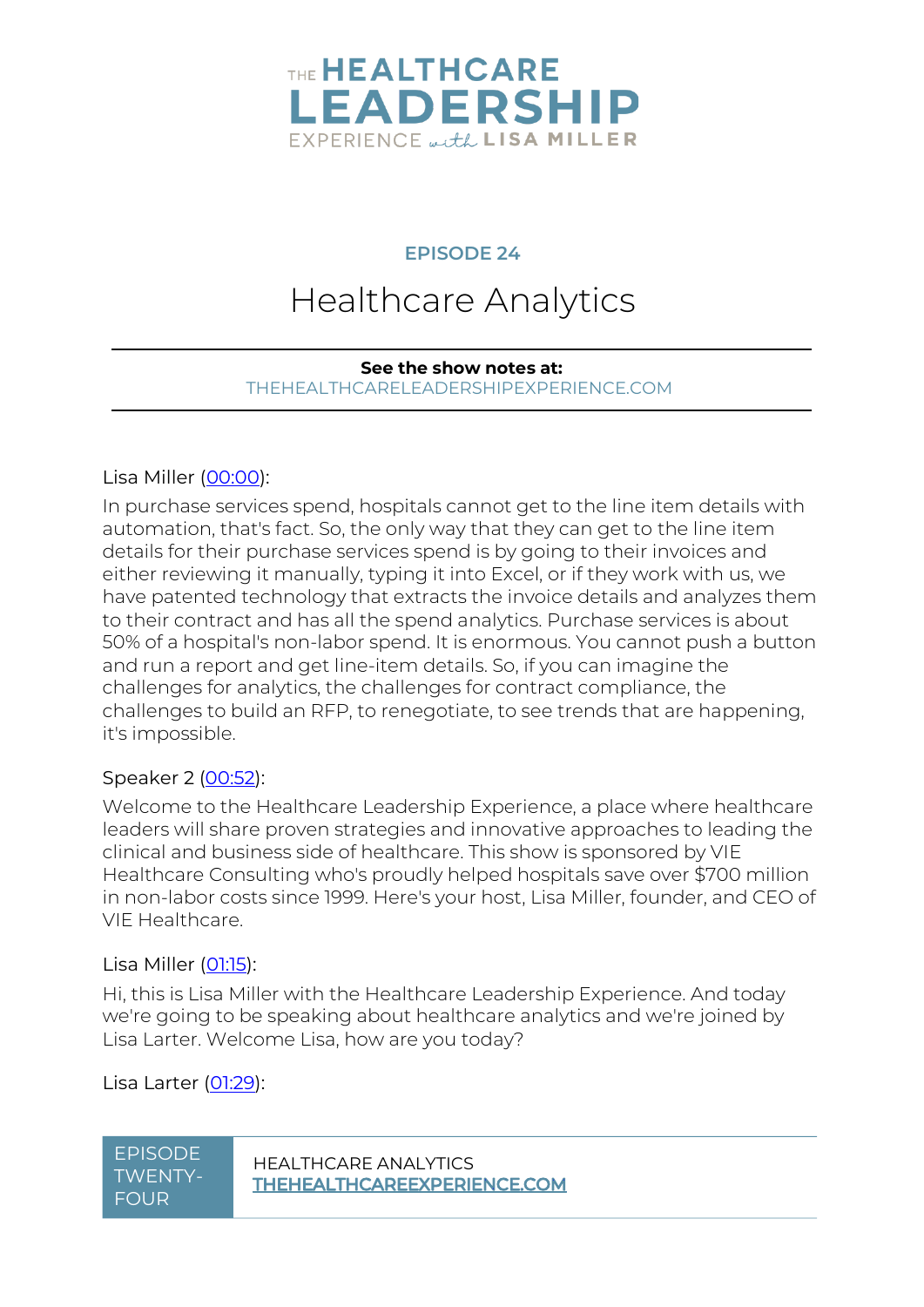

#### **EPISODE 24**

# Healthcare Analytics

#### **See the show notes at:** [THEHEALTHCARELEADERSHIPEXPERIENCE.COM](https://www.thehealthcareleadershipexperience.com/healthcare-analytics-ep24/)

#### Lisa Miller [\(00:00\)](https://www.rev.com/transcript-editor/Edit?token=L0gn6za08MY3n8P3zGKOsX-kQAdagA_HWAoRO0PFe9qZgcUxsauYqRlNZXaBQhFUGSgQEsLdJSOrc_G9JVZ9XAH7sew&loadFrom=DocumentDeeplink&ts=0.15):

In purchase services spend, hospitals cannot get to the line item details with automation, that's fact. So, the only way that they can get to the line item details for their purchase services spend is by going to their invoices and either reviewing it manually, typing it into Excel, or if they work with us, we have patented technology that extracts the invoice details and analyzes them to their contract and has all the spend analytics. Purchase services is about 50% of a hospital's non-labor spend. It is enormous. You cannot push a button and run a report and get line-item details. So, if you can imagine the challenges for analytics, the challenges for contract compliance, the challenges to build an RFP, to renegotiate, to see trends that are happening, it's impossible.

#### Speaker 2 [\(00:52\)](https://www.rev.com/transcript-editor/Edit?token=icfKcikLOueaUWSC95rMolPYh1zdE8NBgnDwcHBB-kogbg5eJnGpUfO4cjHK5tozqj8ETOHeSzzmr7fnYYUDJfURZYE&loadFrom=DocumentDeeplink&ts=52.78):

Welcome to the Healthcare Leadership Experience, a place where healthcare leaders will share proven strategies and innovative approaches to leading the clinical and business side of healthcare. This show is sponsored by VIE Healthcare Consulting who's proudly helped hospitals save over \$700 million in non-labor costs since 1999. Here's your host, Lisa Miller, founder, and CEO of VIE Healthcare.

#### Lisa Miller [\(01:15\)](https://www.rev.com/transcript-editor/Edit?token=DnsXBdZZzFu0kEabTkUcMvF_Phbw1LfKvKqIax-CXgjn9f6KYEwRCKoBWrHrXA_E9UkJP2NxRMGZYBaiop2jrj4AZRE&loadFrom=DocumentDeeplink&ts=75.87):

Hi, this is Lisa Miller with the Healthcare Leadership Experience. And today we're going to be speaking about healthcare analytics and we're joined by Lisa Larter. Welcome Lisa, how are you today?

#### Lisa Larter [\(01:29\)](https://www.rev.com/transcript-editor/Edit?token=Xei5EfwKf7VmNufZ_wXBGsQmx9s3f3NgyTwJZ4TC37wOEzOBs7Ydbuxeay0dJeUDmptDL_W2uAPWcQ_EaBF0rta3F2E&loadFrom=DocumentDeeplink&ts=89.35):

| EPISODE | <b>HEALTI</b> |
|---------|---------------|
| TWENTY- | <b>THEHE</b>  |
| FOUR    |               |

**HCARE ANALYTICS ALTHCAREEXPERIENCE.COM**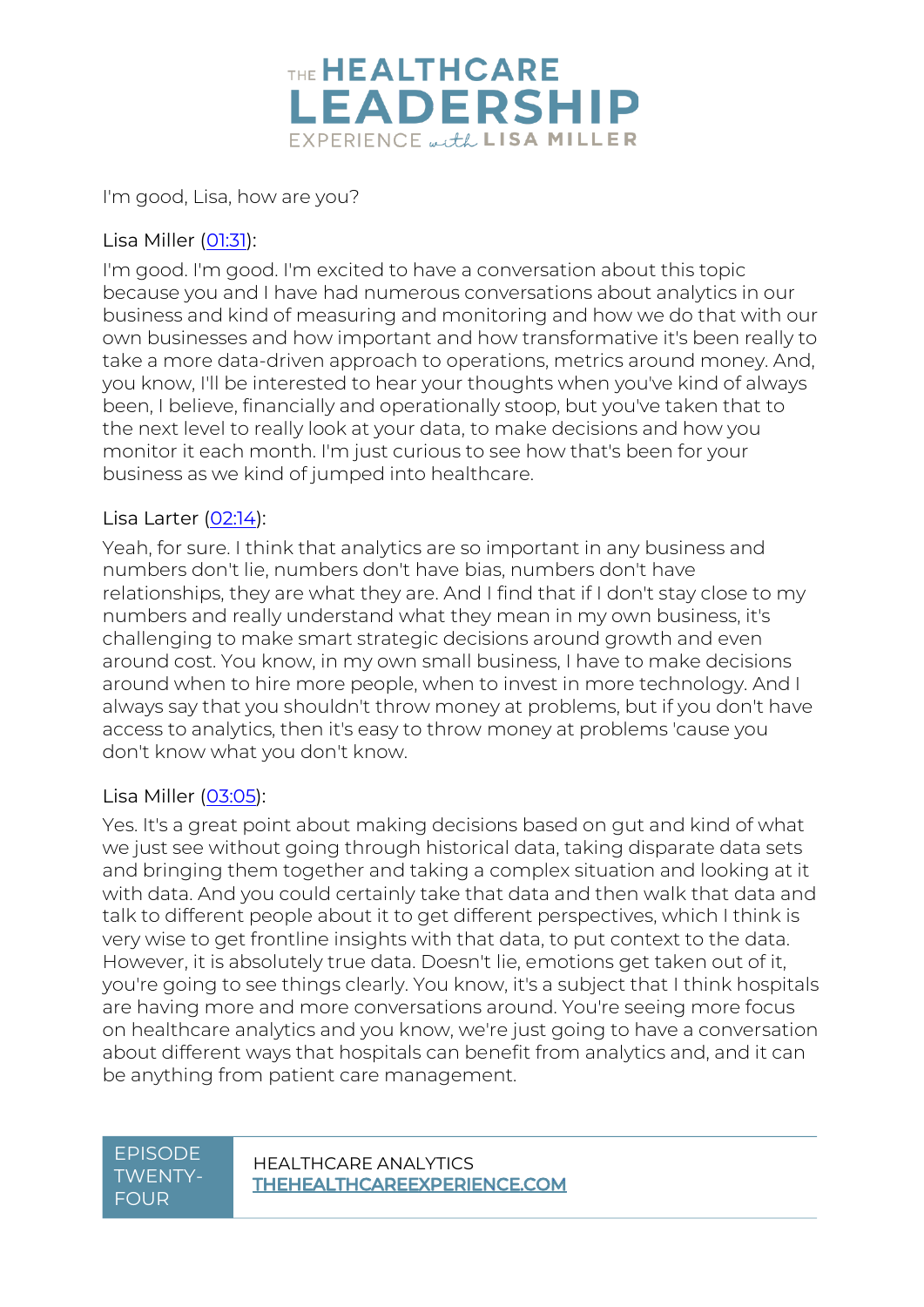

I'm good, Lisa, how are you?

#### Lisa Miller [\(01:31\)](https://www.rev.com/transcript-editor/Edit?token=CqnJxwXd9uwpFZ_y8rLiYbow_GlLIqnnseh3AuVtGit8McZQVRHApcJzT-Wjektt9Rnm4JxHjQfCaGbcuCS738tlutw&loadFrom=DocumentDeeplink&ts=91.02):

I'm good. I'm good. I'm excited to have a conversation about this topic because you and I have had numerous conversations about analytics in our business and kind of measuring and monitoring and how we do that with our own businesses and how important and how transformative it's been really to take a more data-driven approach to operations, metrics around money. And, you know, I'll be interested to hear your thoughts when you've kind of always been, I believe, financially and operationally stoop, but you've taken that to the next level to really look at your data, to make decisions and how you monitor it each month. I'm just curious to see how that's been for your business as we kind of jumped into healthcare.

#### Lisa Larter [\(02:14\)](https://www.rev.com/transcript-editor/Edit?token=aKL95W4ysVHAhWVfifGKt5KJKCO-9x_yfiZ8OZiXNwbDtsK3Hx3rPrAaAK7GVM0hSA2vHmkmvbHOQdRfrnMYwZP0y-U&loadFrom=DocumentDeeplink&ts=134.46):

Yeah, for sure. I think that analytics are so important in any business and numbers don't lie, numbers don't have bias, numbers don't have relationships, they are what they are. And I find that if I don't stay close to my numbers and really understand what they mean in my own business, it's challenging to make smart strategic decisions around growth and even around cost. You know, in my own small business, I have to make decisions around when to hire more people, when to invest in more technology. And I always say that you shouldn't throw money at problems, but if you don't have access to analytics, then it's easy to throw money at problems 'cause you don't know what you don't know.

#### Lisa Miller [\(03:05\)](https://www.rev.com/transcript-editor/Edit?token=Yi1y0JtQ5uOFuB3vgaGwaAOanVelI-WnIOjnouviRc_w1DONKfTqXN1rfUMHUIREIxDtSLQo0_DQ0_8iZfdEpEKRrT4&loadFrom=DocumentDeeplink&ts=185.16):

Yes. It's a great point about making decisions based on gut and kind of what we just see without going through historical data, taking disparate data sets and bringing them together and taking a complex situation and looking at it with data. And you could certainly take that data and then walk that data and talk to different people about it to get different perspectives, which I think is very wise to get frontline insights with that data, to put context to the data. However, it is absolutely true data. Doesn't lie, emotions get taken out of it, you're going to see things clearly. You know, it's a subject that I think hospitals are having more and more conversations around. You're seeing more focus on healthcare analytics and you know, we're just going to have a conversation about different ways that hospitals can benefit from analytics and, and it can be anything from patient care management.

### TWENTY-FOUR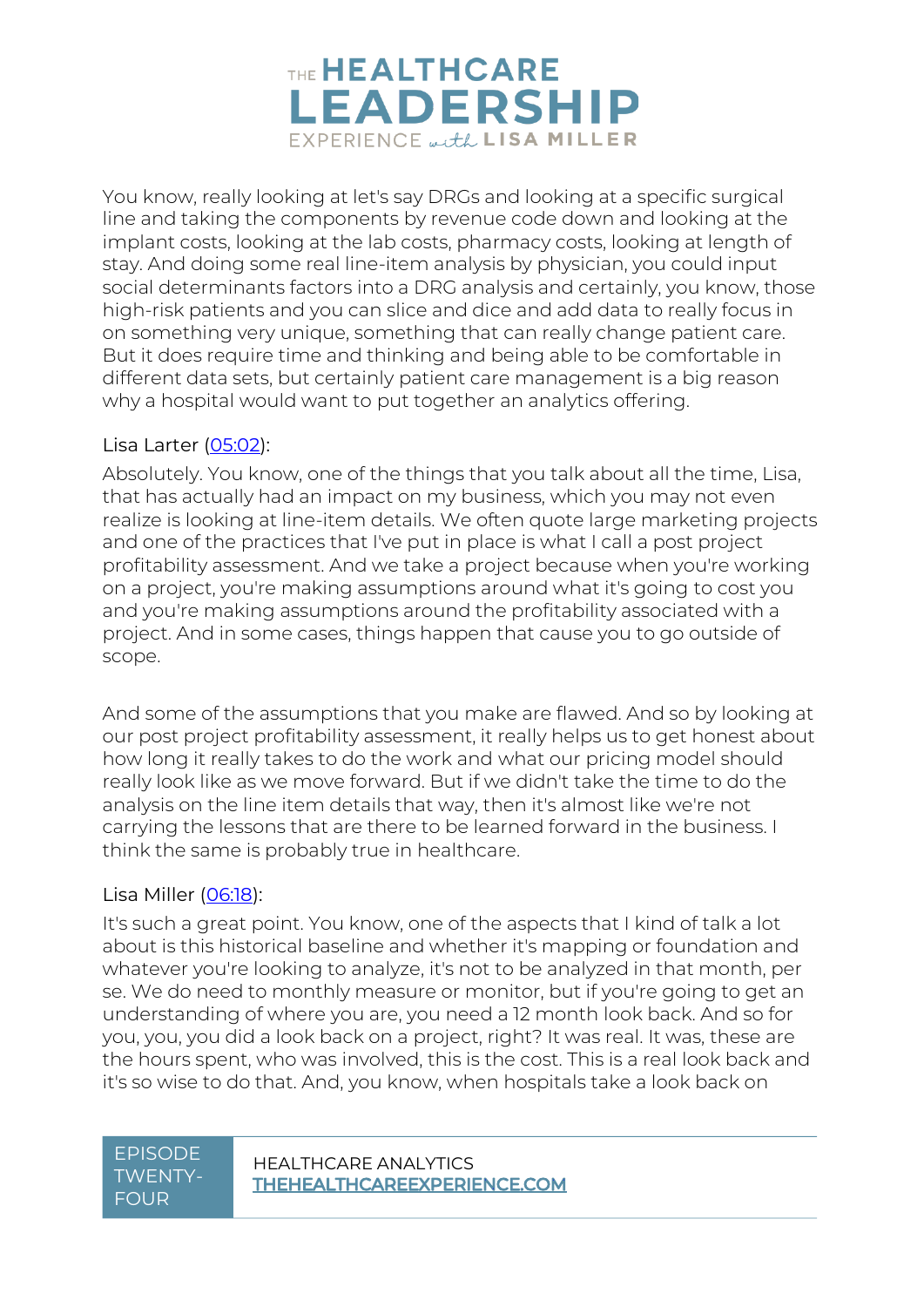

You know, really looking at let's say DRGs and looking at a specific surgical line and taking the components by revenue code down and looking at the implant costs, looking at the lab costs, pharmacy costs, looking at length of stay. And doing some real line-item analysis by physician, you could input social determinants factors into a DRG analysis and certainly, you know, those high-risk patients and you can slice and dice and add data to really focus in on something very unique, something that can really change patient care. But it does require time and thinking and being able to be comfortable in different data sets, but certainly patient care management is a big reason why a hospital would want to put together an analytics offering.

#### Lisa Larter [\(05:02\)](https://www.rev.com/transcript-editor/Edit?token=_6-8w2Z7dI9eOeF6iDzwdkxnkPY8xFjLnc4-scKBtshv8kIOEWKsRt4Ld_avCYYjcsqk7AlPOSDqMgmrNcLvWdoQQ54&loadFrom=DocumentDeeplink&ts=302.27):

Absolutely. You know, one of the things that you talk about all the time, Lisa, that has actually had an impact on my business, which you may not even realize is looking at line-item details. We often quote large marketing projects and one of the practices that I've put in place is what I call a post project profitability assessment. And we take a project because when you're working on a project, you're making assumptions around what it's going to cost you and you're making assumptions around the profitability associated with a project. And in some cases, things happen that cause you to go outside of scope.

And some of the assumptions that you make are flawed. And so by looking at our post project profitability assessment, it really helps us to get honest about how long it really takes to do the work and what our pricing model should really look like as we move forward. But if we didn't take the time to do the analysis on the line item details that way, then it's almost like we're not carrying the lessons that are there to be learned forward in the business. I think the same is probably true in healthcare.

#### Lisa Miller [\(06:18\)](https://www.rev.com/transcript-editor/Edit?token=m9of9Wqjhaaa_Odm0MluPPmRW_mzqWqqWLYfkY6f4IQv68GorYbwlDzpBmGZeNxEG8MFQ8iXHjRkprIVLqqa9z1XwZ4&loadFrom=DocumentDeeplink&ts=378.73):

It's such a great point. You know, one of the aspects that I kind of talk a lot about is this historical baseline and whether it's mapping or foundation and whatever you're looking to analyze, it's not to be analyzed in that month, per se. We do need to monthly measure or monitor, but if you're going to get an understanding of where you are, you need a 12 month look back. And so for you, you, you did a look back on a project, right? It was real. It was, these are the hours spent, who was involved, this is the cost. This is a real look back and it's so wise to do that. And, you know, when hospitals take a look back on

### TWENTY-FOUR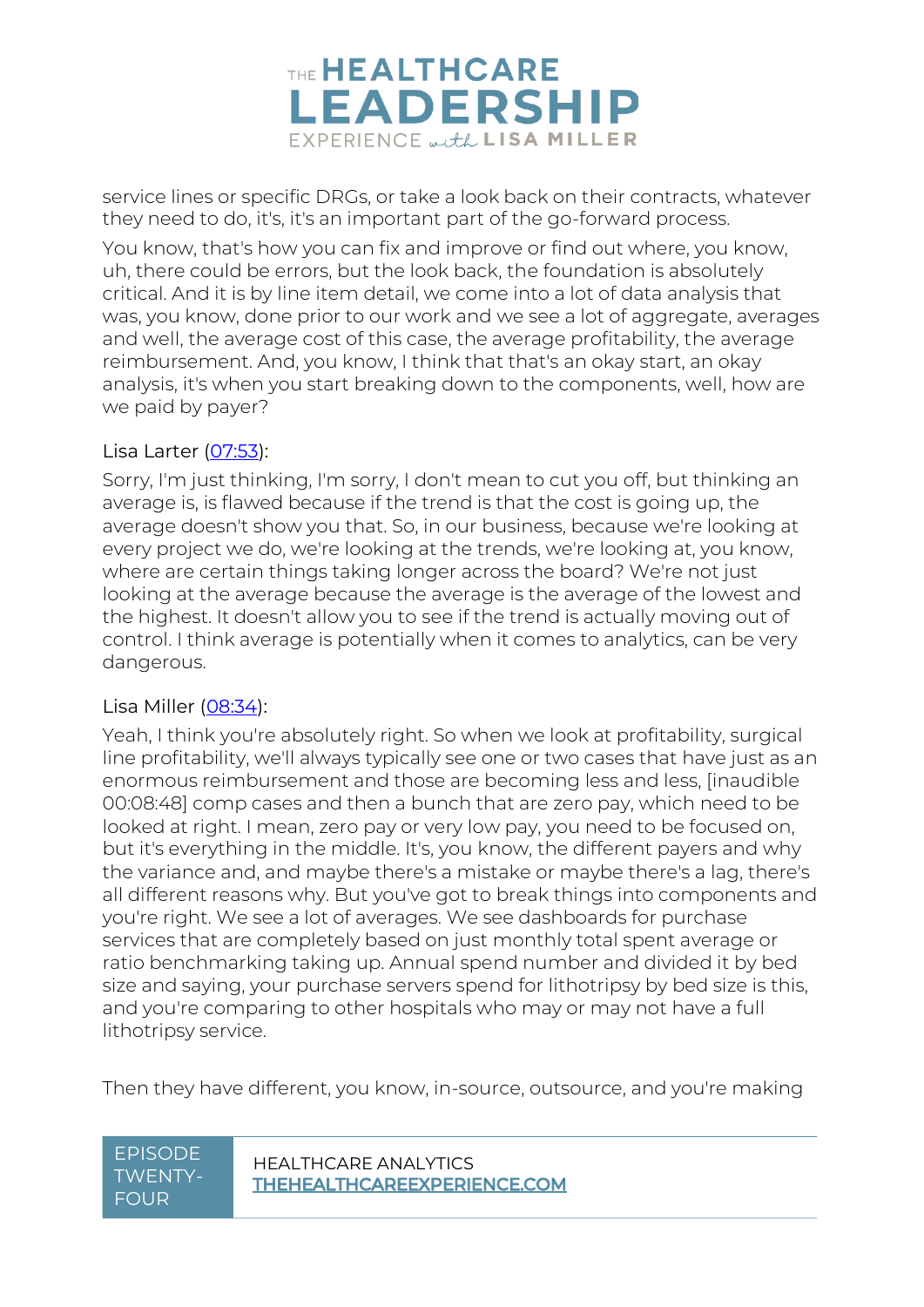

service lines or specific DRGs, or take a look back on their contracts, whatever they need to do, it's, it's an important part of the go-forward process.

You know, that's how you can fix and improve or find out where, you know, uh, there could be errors, but the look back, the foundation is absolutely critical. And it is by line item detail, we come into a lot of data analysis that was, you know, done prior to our work and we see a lot of aggregate, averages and well, the average cost of this case, the average profitability, the average reimbursement. And, you know, I think that that's an okay start, an okay analysis, it's when you start breaking down to the components, well, how are we paid by payer?

#### Lisa Larter [\(07:53\)](https://www.rev.com/transcript-editor/Edit?token=qdqkZCefkE8IjuKnbRRjUQReKOCIxyQsIO9sm0u_ENnnBP4nJyU8B6xJd7y441otgkGf6JtcfEWZttRnJ5L0FRhYqJE&loadFrom=DocumentDeeplink&ts=473.51):

Sorry, I'm just thinking, I'm sorry, I don't mean to cut you off, but thinking an average is, is flawed because if the trend is that the cost is going up, the average doesn't show you that. So, in our business, because we're looking at every project we do, we're looking at the trends, we're looking at, you know, where are certain things taking longer across the board? We're not just looking at the average because the average is the average of the lowest and the highest. It doesn't allow you to see if the trend is actually moving out of control. I think average is potentially when it comes to analytics, can be very dangerous.

#### Lisa Miller [\(08:34\)](https://www.rev.com/transcript-editor/Edit?token=h402NMhVUd4TUs6iLReS0VGyX5yWibjYUMPxtPVup9X2bQnZouz-KZO5fBx6qX8ECxs8XuT323_LgAJPQwmYv2OEYo0&loadFrom=DocumentDeeplink&ts=514.63):

Yeah, I think you're absolutely right. So when we look at profitability, surgical line profitability, we'll always typically see one or two cases that have just as an enormous reimbursement and those are becoming less and less, [inaudible 00:08:48] comp cases and then a bunch that are zero pay, which need to be looked at right. I mean, zero pay or very low pay, you need to be focused on, but it's everything in the middle. It's, you know, the different payers and why the variance and, and maybe there's a mistake or maybe there's a lag, there's all different reasons why. But you've got to break things into components and you're right. We see a lot of averages. We see dashboards for purchase services that are completely based on just monthly total spent average or ratio benchmarking taking up. Annual spend number and divided it by bed size and saying, your purchase servers spend for lithotripsy by bed size is this, and you're comparing to other hospitals who may or may not have a full lithotripsy service.

Then they have different, you know, in-source, outsource, and you're making

## TWENTY-FOUR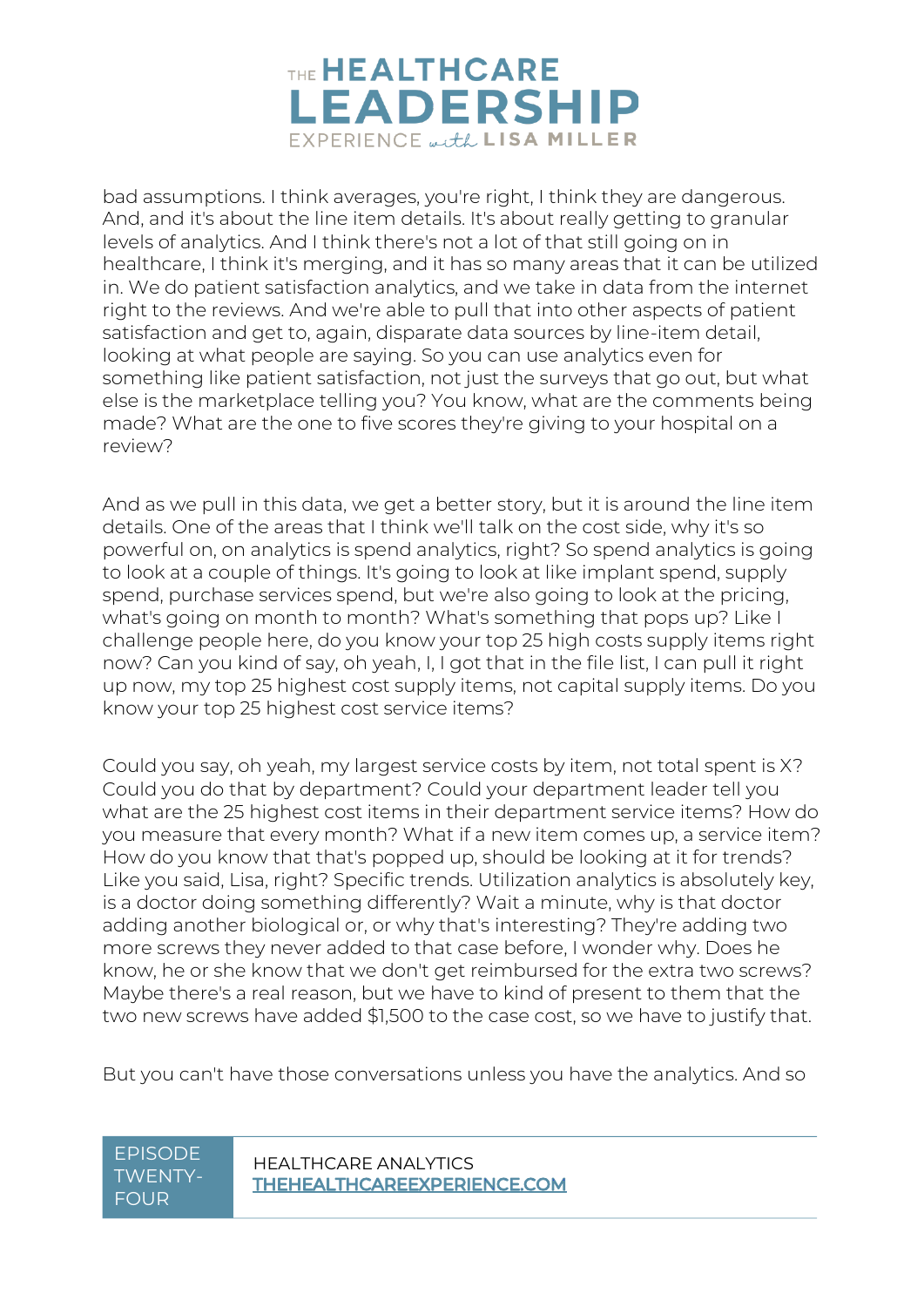

bad assumptions. I think averages, you're right, I think they are dangerous. And, and it's about the line item details. It's about really getting to granular levels of analytics. And I think there's not a lot of that still going on in healthcare, I think it's merging, and it has so many areas that it can be utilized in. We do patient satisfaction analytics, and we take in data from the internet right to the reviews. And we're able to pull that into other aspects of patient satisfaction and get to, again, disparate data sources by line-item detail, looking at what people are saying. So you can use analytics even for something like patient satisfaction, not just the surveys that go out, but what else is the marketplace telling you? You know, what are the comments being made? What are the one to five scores they're giving to your hospital on a review?

And as we pull in this data, we get a better story, but it is around the line item details. One of the areas that I think we'll talk on the cost side, why it's so powerful on, on analytics is spend analytics, right? So spend analytics is going to look at a couple of things. It's going to look at like implant spend, supply spend, purchase services spend, but we're also going to look at the pricing, what's going on month to month? What's something that pops up? Like I challenge people here, do you know your top 25 high costs supply items right now? Can you kind of say, oh yeah, I, I got that in the file list, I can pull it right up now, my top 25 highest cost supply items, not capital supply items. Do you know your top 25 highest cost service items?

Could you say, oh yeah, my largest service costs by item, not total spent is X? Could you do that by department? Could your department leader tell you what are the 25 highest cost items in their department service items? How do you measure that every month? What if a new item comes up, a service item? How do you know that that's popped up, should be looking at it for trends? Like you said, Lisa, right? Specific trends. Utilization analytics is absolutely key, is a doctor doing something differently? Wait a minute, why is that doctor adding another biological or, or why that's interesting? They're adding two more screws they never added to that case before, I wonder why. Does he know, he or she know that we don't get reimbursed for the extra two screws? Maybe there's a real reason, but we have to kind of present to them that the two new screws have added \$1,500 to the case cost, so we have to justify that.

But you can't have those conversations unless you have the analytics. And so

# TWENTY-FOUR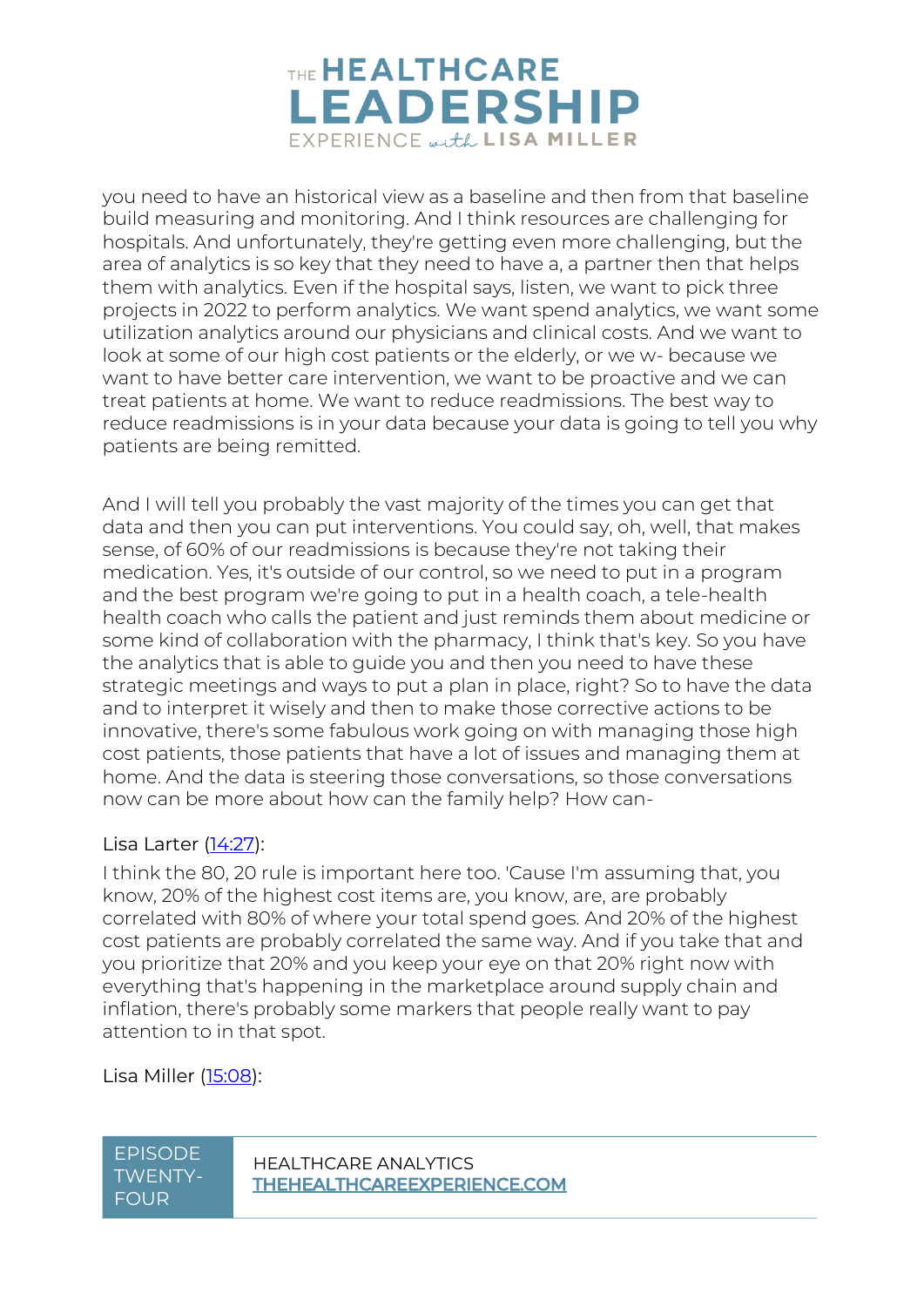

you need to have an historical view as a baseline and then from that baseline build measuring and monitoring. And I think resources are challenging for hospitals. And unfortunately, they're getting even more challenging, but the area of analytics is so key that they need to have a, a partner then that helps them with analytics. Even if the hospital says, listen, we want to pick three projects in 2022 to perform analytics. We want spend analytics, we want some utilization analytics around our physicians and clinical costs. And we want to look at some of our high cost patients or the elderly, or we w- because we want to have better care intervention, we want to be proactive and we can treat patients at home. We want to reduce readmissions. The best way to reduce readmissions is in your data because your data is going to tell you why patients are being remitted.

And I will tell you probably the vast majority of the times you can get that data and then you can put interventions. You could say, oh, well, that makes sense, of 60% of our readmissions is because they're not taking their medication. Yes, it's outside of our control, so we need to put in a program and the best program we're going to put in a health coach, a tele-health health coach who calls the patient and just reminds them about medicine or some kind of collaboration with the pharmacy, I think that's key. So you have the analytics that is able to guide you and then you need to have these strategic meetings and ways to put a plan in place, right? So to have the data and to interpret it wisely and then to make those corrective actions to be innovative, there's some fabulous work going on with managing those high cost patients, those patients that have a lot of issues and managing them at home. And the data is steering those conversations, so those conversations now can be more about how can the family help? How can-

#### Lisa Larter [\(14:27\)](https://www.rev.com/transcript-editor/Edit?token=XkwTqYNjtX46youDrAL5H6N_6xfCnF_ghb68H2LKcjsNYuaqBHMTKVgZgxTLPSmqeghNRCyxeWgdZxulH7Vl0l1Gqw8&loadFrom=DocumentDeeplink&ts=867.72):

I think the 80, 20 rule is important here too. 'Cause I'm assuming that, you know, 20% of the highest cost items are, you know, are, are probably correlated with 80% of where your total spend goes. And 20% of the highest cost patients are probably correlated the same way. And if you take that and you prioritize that 20% and you keep your eye on that 20% right now with everything that's happening in the marketplace around supply chain and inflation, there's probably some markers that people really want to pay attention to in that spot.

Lisa Miller [\(15:08\)](https://www.rev.com/transcript-editor/Edit?token=RCwRj1FwyFdrxSGkgR3dsYnkmrhLorlLSRHB4Gdshn_vOjPfbEKPwr9mOvffq-WHFAEOjDbFOWtObUc3flevOQJ_pBM&loadFrom=DocumentDeeplink&ts=908.19):

TWENTY-FOUR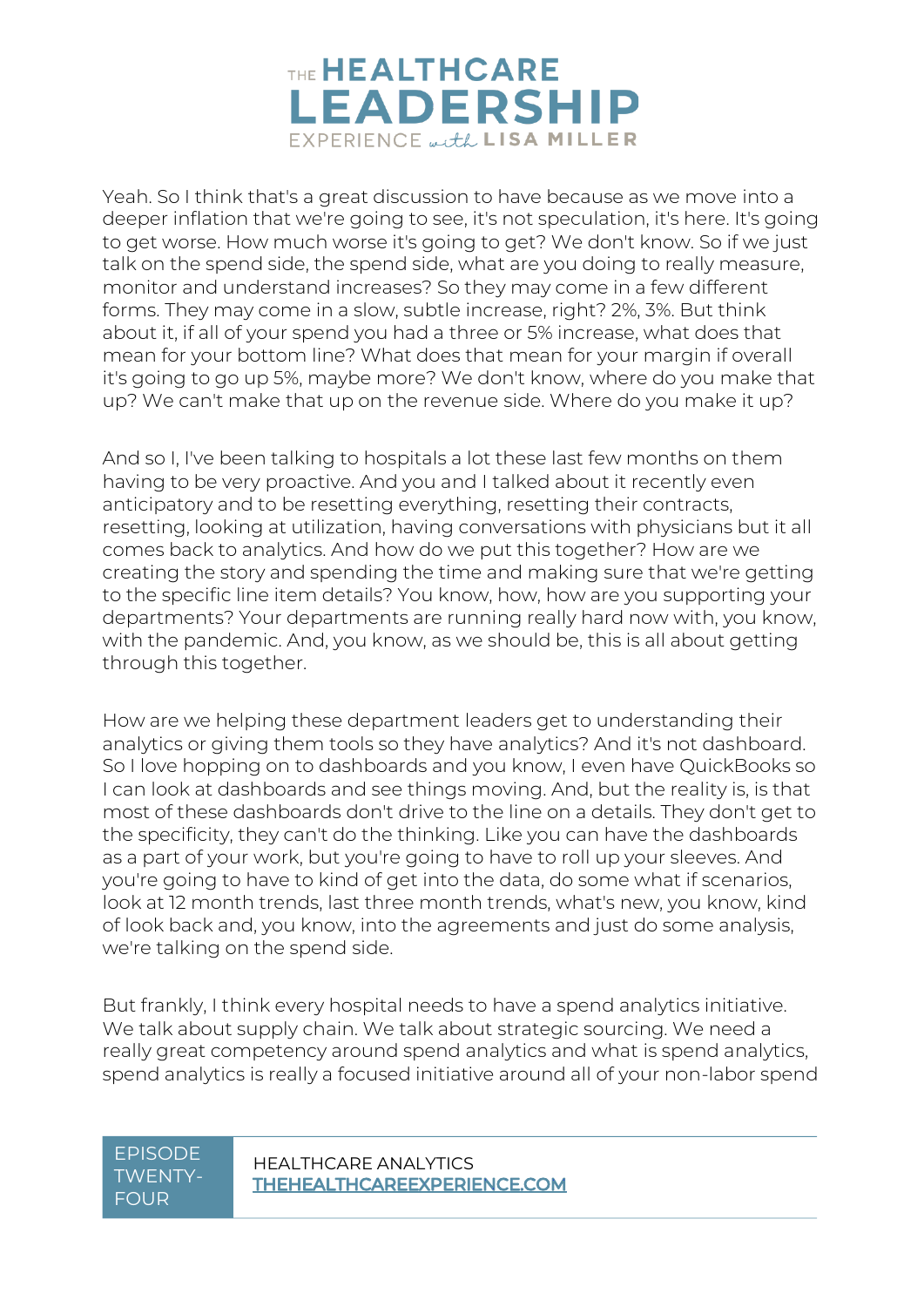

Yeah. So I think that's a great discussion to have because as we move into a deeper inflation that we're going to see, it's not speculation, it's here. It's going to get worse. How much worse it's going to get? We don't know. So if we just talk on the spend side, the spend side, what are you doing to really measure, monitor and understand increases? So they may come in a few different forms. They may come in a slow, subtle increase, right? 2%, 3%. But think about it, if all of your spend you had a three or 5% increase, what does that mean for your bottom line? What does that mean for your margin if overall it's going to go up 5%, maybe more? We don't know, where do you make that up? We can't make that up on the revenue side. Where do you make it up?

And so I, I've been talking to hospitals a lot these last few months on them having to be very proactive. And you and I talked about it recently even anticipatory and to be resetting everything, resetting their contracts, resetting, looking at utilization, having conversations with physicians but it all comes back to analytics. And how do we put this together? How are we creating the story and spending the time and making sure that we're getting to the specific line item details? You know, how, how are you supporting your departments? Your departments are running really hard now with, you know, with the pandemic. And, you know, as we should be, this is all about getting through this together.

How are we helping these department leaders get to understanding their analytics or giving them tools so they have analytics? And it's not dashboard. So I love hopping on to dashboards and you know, I even have QuickBooks so I can look at dashboards and see things moving. And, but the reality is, is that most of these dashboards don't drive to the line on a details. They don't get to the specificity, they can't do the thinking. Like you can have the dashboards as a part of your work, but you're going to have to roll up your sleeves. And you're going to have to kind of get into the data, do some what if scenarios, look at 12 month trends, last three month trends, what's new, you know, kind of look back and, you know, into the agreements and just do some analysis, we're talking on the spend side.

But frankly, I think every hospital needs to have a spend analytics initiative. We talk about supply chain. We talk about strategic sourcing. We need a really great competency around spend analytics and what is spend analytics, spend analytics is really a focused initiative around all of your non-labor spend

## TWENTY-FOUR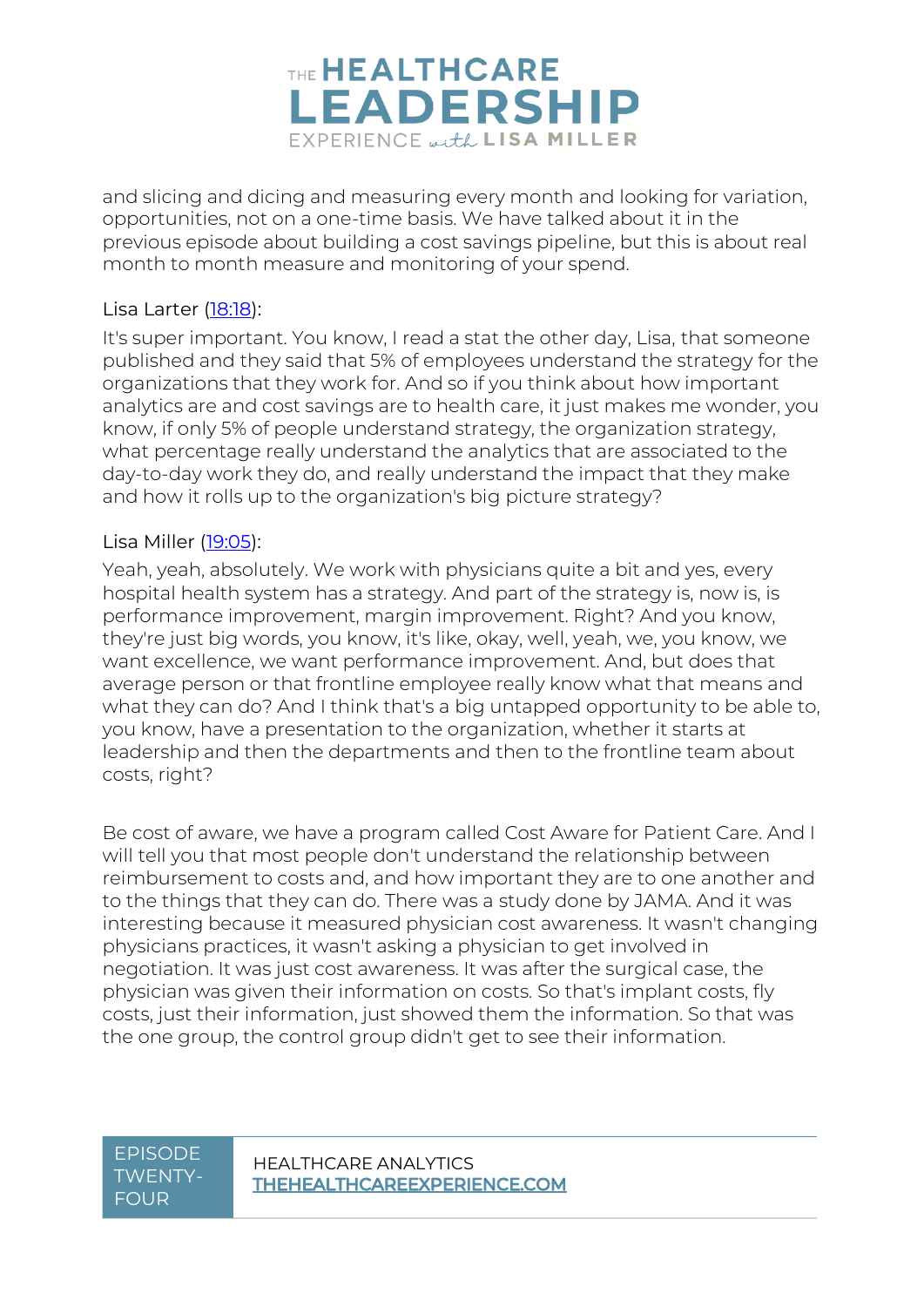

and slicing and dicing and measuring every month and looking for variation, opportunities, not on a one-time basis. We have talked about it in the previous episode about building a cost savings pipeline, but this is about real month to month measure and monitoring of your spend.

#### Lisa Larter [\(18:18\)](https://www.rev.com/transcript-editor/Edit?token=ckY6Oc9voE2OtPmXDUPW0vKh3OIwhXAdGC871NP7zUDiRSR7NBfKZVk8uZX61qXuWdZCzNxIsOrGguj0oPa5aUxvT7k&loadFrom=DocumentDeeplink&ts=1098.9):

It's super important. You know, I read a stat the other day, Lisa, that someone published and they said that 5% of employees understand the strategy for the organizations that they work for. And so if you think about how important analytics are and cost savings are to health care, it just makes me wonder, you know, if only 5% of people understand strategy, the organization strategy, what percentage really understand the analytics that are associated to the day-to-day work they do, and really understand the impact that they make and how it rolls up to the organization's big picture strategy?

#### Lisa Miller [\(19:05\)](https://www.rev.com/transcript-editor/Edit?token=X2QejJOhxCaK64bC4XNrC-LCdWIc1T6M-LxoES5g5D7CZQQ5QHxE81nlds6jtCZ2hEmF0bwftpzdiRnAS_WME_Y_2f4&loadFrom=DocumentDeeplink&ts=1145.72):

Yeah, yeah, absolutely. We work with physicians quite a bit and yes, every hospital health system has a strategy. And part of the strategy is, now is, is performance improvement, margin improvement. Right? And you know, they're just big words, you know, it's like, okay, well, yeah, we, you know, we want excellence, we want performance improvement. And, but does that average person or that frontline employee really know what that means and what they can do? And I think that's a big untapped opportunity to be able to, you know, have a presentation to the organization, whether it starts at leadership and then the departments and then to the frontline team about costs, right?

Be cost of aware, we have a program called Cost Aware for Patient Care. And I will tell you that most people don't understand the relationship between reimbursement to costs and, and how important they are to one another and to the things that they can do. There was a study done by JAMA. And it was interesting because it measured physician cost awareness. It wasn't changing physicians practices, it wasn't asking a physician to get involved in negotiation. It was just cost awareness. It was after the surgical case, the physician was given their information on costs. So that's implant costs, fly costs, just their information, just showed them the information. So that was the one group, the control group didn't get to see their information.

### TWENTY-FOUR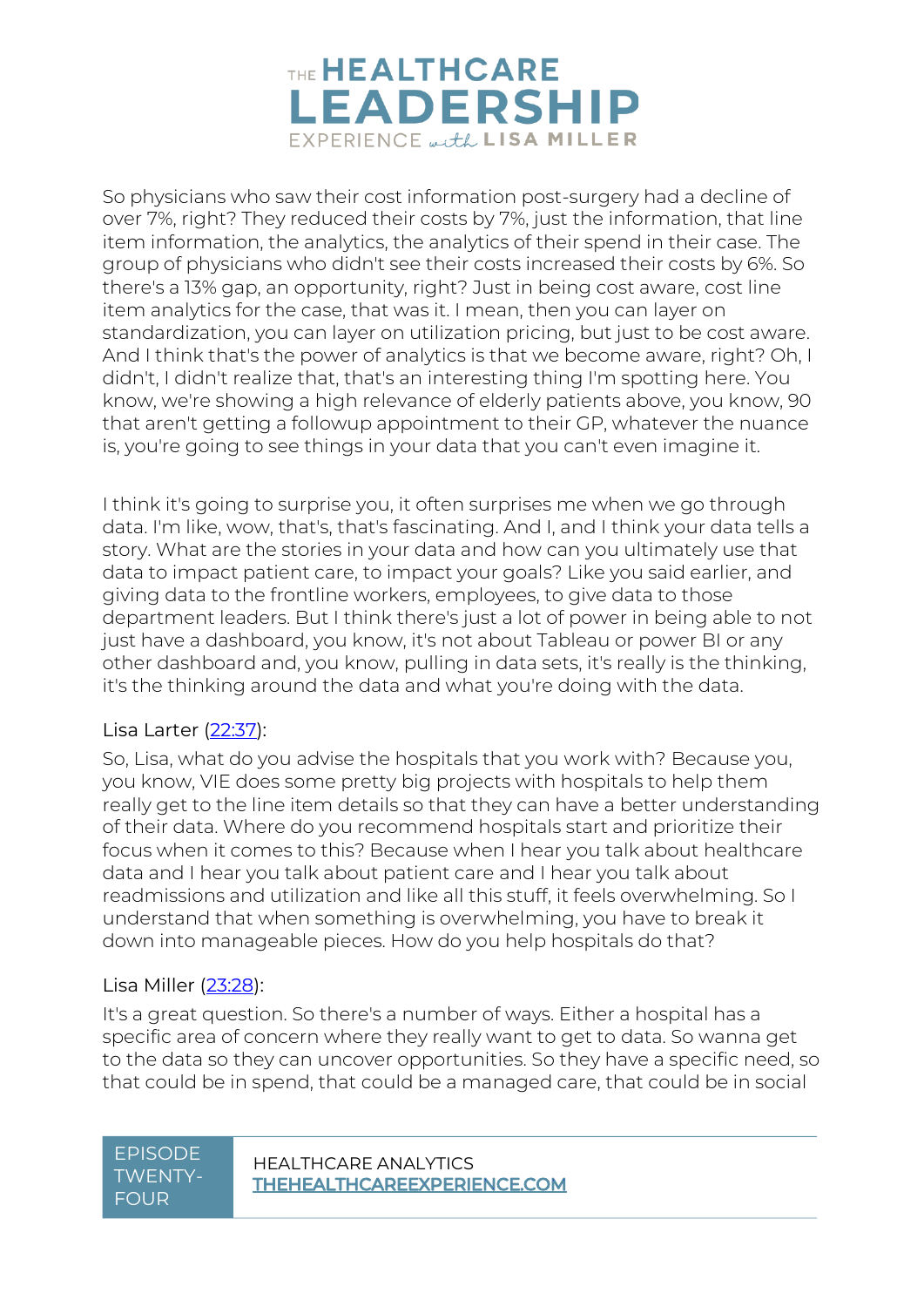

So physicians who saw their cost information post-surgery had a decline of over 7%, right? They reduced their costs by 7%, just the information, that line item information, the analytics, the analytics of their spend in their case. The group of physicians who didn't see their costs increased their costs by 6%. So there's a 13% gap, an opportunity, right? Just in being cost aware, cost line item analytics for the case, that was it. I mean, then you can layer on standardization, you can layer on utilization pricing, but just to be cost aware. And I think that's the power of analytics is that we become aware, right? Oh, I didn't, I didn't realize that, that's an interesting thing I'm spotting here. You know, we're showing a high relevance of elderly patients above, you know, 90 that aren't getting a followup appointment to their GP, whatever the nuance is, you're going to see things in your data that you can't even imagine it.

I think it's going to surprise you, it often surprises me when we go through data. I'm like, wow, that's, that's fascinating. And I, and I think your data tells a story. What are the stories in your data and how can you ultimately use that data to impact patient care, to impact your goals? Like you said earlier, and giving data to the frontline workers, employees, to give data to those department leaders. But I think there's just a lot of power in being able to not just have a dashboard, you know, it's not about Tableau or power BI or any other dashboard and, you know, pulling in data sets, it's really is the thinking, it's the thinking around the data and what you're doing with the data.

#### Lisa Larter [\(22:37\)](https://www.rev.com/transcript-editor/Edit?token=-Rj0Tt1lZ9BADxlLOWXqLeaaDzsOYoo0cfN4J7ZY7YErxa77768ghe2nhv8VoFyPIIsaUBDe0Khsej6GlArR0Wpd4q4&loadFrom=DocumentDeeplink&ts=1357.76):

So, Lisa, what do you advise the hospitals that you work with? Because you, you know, VIE does some pretty big projects with hospitals to help them really get to the line item details so that they can have a better understanding of their data. Where do you recommend hospitals start and prioritize their focus when it comes to this? Because when I hear you talk about healthcare data and I hear you talk about patient care and I hear you talk about readmissions and utilization and like all this stuff, it feels overwhelming. So I understand that when something is overwhelming, you have to break it down into manageable pieces. How do you help hospitals do that?

#### Lisa Miller [\(23:28\)](https://www.rev.com/transcript-editor/Edit?token=1_Z5uwGnLgKqIaj0ZS0G5WtyS-o2EqbwgXsiB25w8CMyOQqYHSjzj-n3g40BpD03yV-erE_BBNSvNpHQ0PAS1sLv0Qw&loadFrom=DocumentDeeplink&ts=1408.96):

It's a great question. So there's a number of ways. Either a hospital has a specific area of concern where they really want to get to data. So wanna get to the data so they can uncover opportunities. So they have a specific need, so that could be in spend, that could be a managed care, that could be in social

| <u>EPISODE</u> |
|----------------|
| TWFNTY-        |
| FOUR           |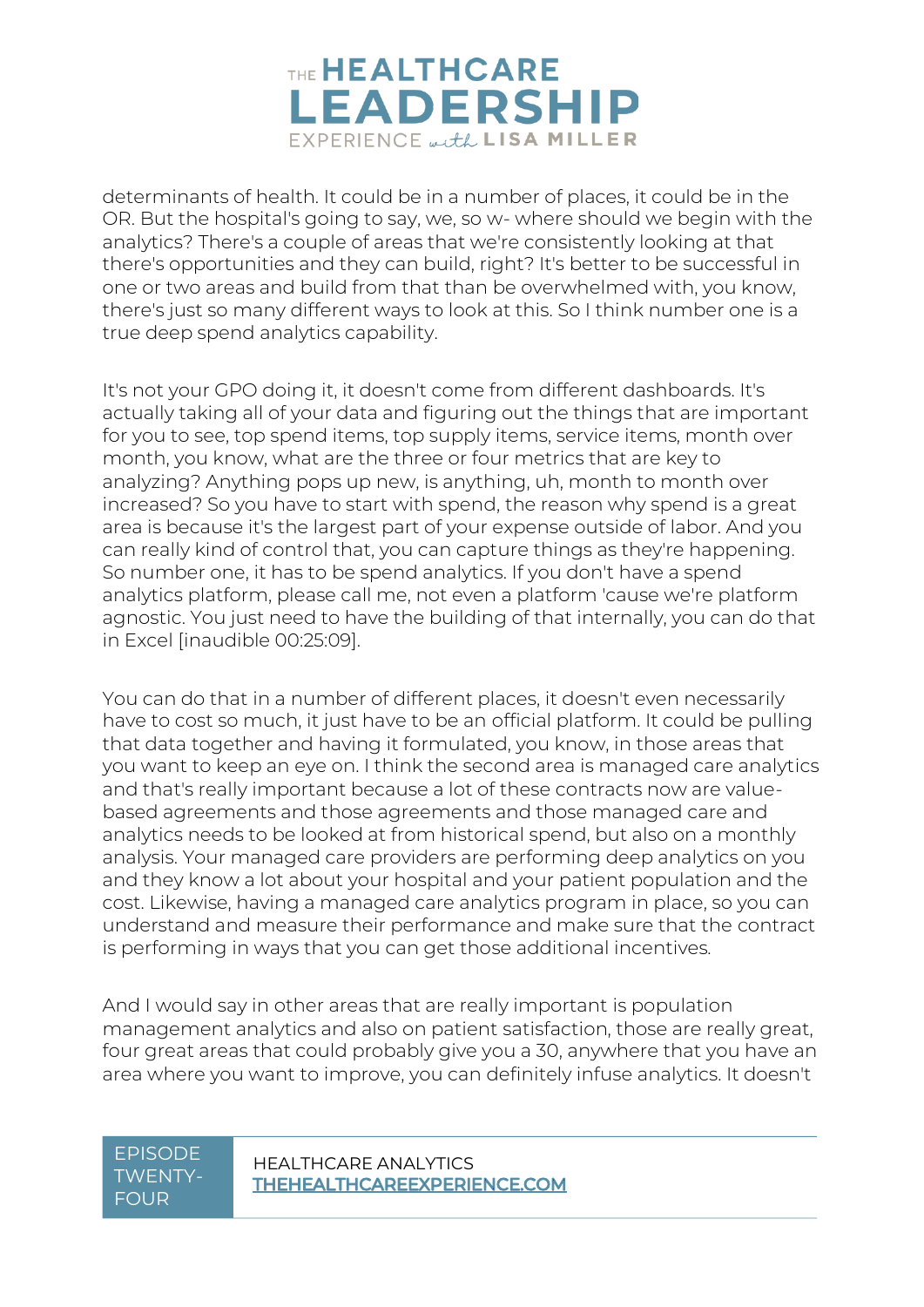

determinants of health. It could be in a number of places, it could be in the OR. But the hospital's going to say, we, so w- where should we begin with the analytics? There's a couple of areas that we're consistently looking at that there's opportunities and they can build, right? It's better to be successful in one or two areas and build from that than be overwhelmed with, you know, there's just so many different ways to look at this. So I think number one is a true deep spend analytics capability.

It's not your GPO doing it, it doesn't come from different dashboards. It's actually taking all of your data and figuring out the things that are important for you to see, top spend items, top supply items, service items, month over month, you know, what are the three or four metrics that are key to analyzing? Anything pops up new, is anything, uh, month to month over increased? So you have to start with spend, the reason why spend is a great area is because it's the largest part of your expense outside of labor. And you can really kind of control that, you can capture things as they're happening. So number one, it has to be spend analytics. If you don't have a spend analytics platform, please call me, not even a platform 'cause we're platform agnostic. You just need to have the building of that internally, you can do that in Excel [inaudible 00:25:09].

You can do that in a number of different places, it doesn't even necessarily have to cost so much, it just have to be an official platform. It could be pulling that data together and having it formulated, you know, in those areas that you want to keep an eye on. I think the second area is managed care analytics and that's really important because a lot of these contracts now are valuebased agreements and those agreements and those managed care and analytics needs to be looked at from historical spend, but also on a monthly analysis. Your managed care providers are performing deep analytics on you and they know a lot about your hospital and your patient population and the cost. Likewise, having a managed care analytics program in place, so you can understand and measure their performance and make sure that the contract is performing in ways that you can get those additional incentives.

And I would say in other areas that are really important is population management analytics and also on patient satisfaction, those are really great, four great areas that could probably give you a 30, anywhere that you have an area where you want to improve, you can definitely infuse analytics. It doesn't

## TWENTY-FOUR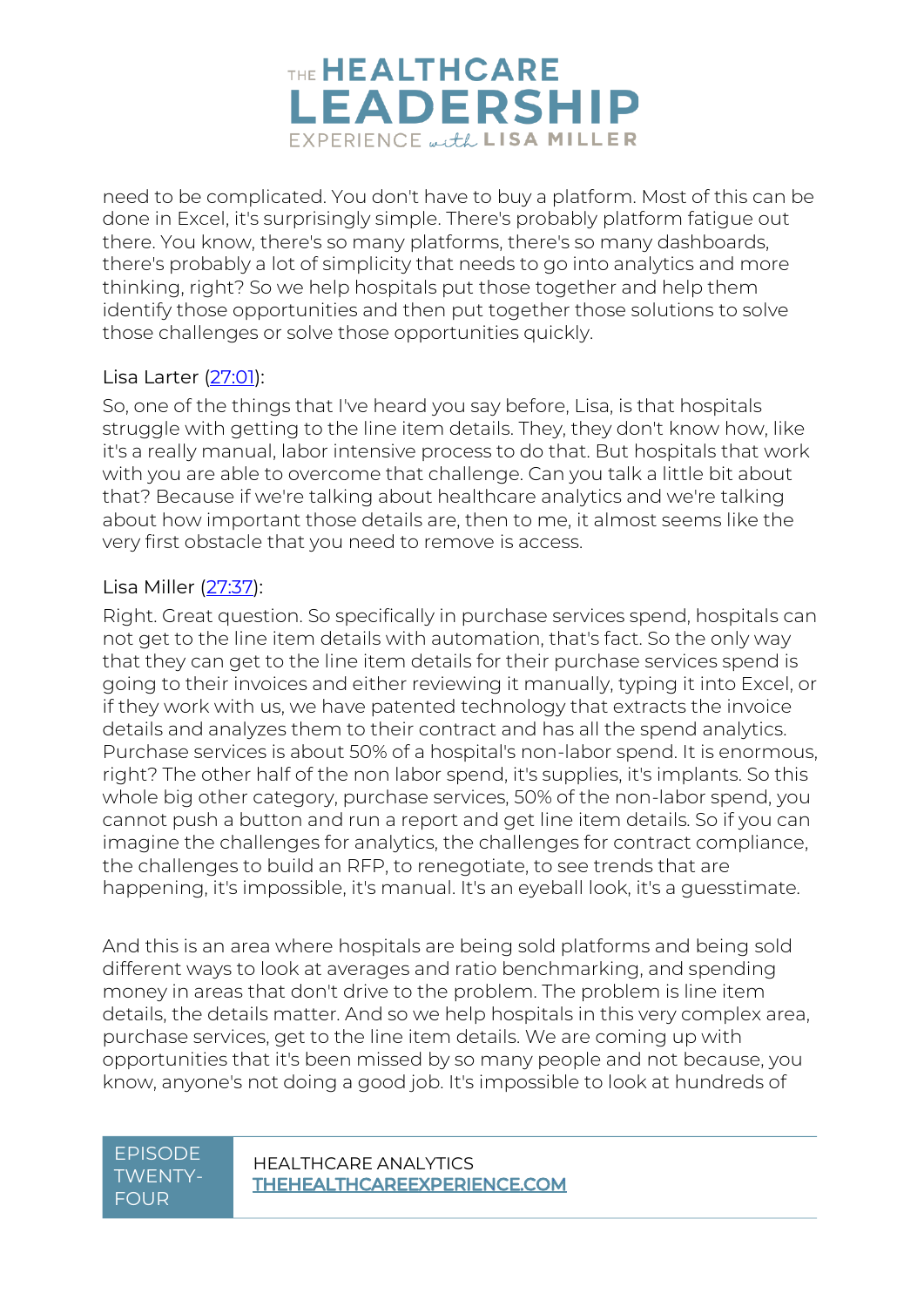

need to be complicated. You don't have to buy a platform. Most of this can be done in Excel, it's surprisingly simple. There's probably platform fatigue out there. You know, there's so many platforms, there's so many dashboards, there's probably a lot of simplicity that needs to go into analytics and more thinking, right? So we help hospitals put those together and help them identify those opportunities and then put together those solutions to solve those challenges or solve those opportunities quickly.

#### Lisa Larter [\(27:01\)](https://www.rev.com/transcript-editor/Edit?token=oWM6yEk9k_RMKDzNqRS815SmhwspFAkfsu-rRp1EgWMyOF-qoZ3xk_JZplBcSEO10Cz3UuvvZPpY7vFYIsDSdTVBIpc&loadFrom=DocumentDeeplink&ts=1621.09):

So, one of the things that I've heard you say before, Lisa, is that hospitals struggle with getting to the line item details. They, they don't know how, like it's a really manual, labor intensive process to do that. But hospitals that work with you are able to overcome that challenge. Can you talk a little bit about that? Because if we're talking about healthcare analytics and we're talking about how important those details are, then to me, it almost seems like the very first obstacle that you need to remove is access.

#### Lisa Miller [\(27:37\)](https://www.rev.com/transcript-editor/Edit?token=t6LdKeeue22Zg5ZXNAu-fDeRu4x4AWwbOcS1maOZCbaLzwgANOcCNaHvVzkn8VkDM0aOq-Gjg5HY0QYYD80NcHNVPt8&loadFrom=DocumentDeeplink&ts=1657.22):

Right. Great question. So specifically in purchase services spend, hospitals can not get to the line item details with automation, that's fact. So the only way that they can get to the line item details for their purchase services spend is going to their invoices and either reviewing it manually, typing it into Excel, or if they work with us, we have patented technology that extracts the invoice details and analyzes them to their contract and has all the spend analytics. Purchase services is about 50% of a hospital's non-labor spend. It is enormous, right? The other half of the non labor spend, it's supplies, it's implants. So this whole big other category, purchase services, 50% of the non-labor spend, you cannot push a button and run a report and get line item details. So if you can imagine the challenges for analytics, the challenges for contract compliance, the challenges to build an RFP, to renegotiate, to see trends that are happening, it's impossible, it's manual. It's an eyeball look, it's a guesstimate.

And this is an area where hospitals are being sold platforms and being sold different ways to look at averages and ratio benchmarking, and spending money in areas that don't drive to the problem. The problem is line item details, the details matter. And so we help hospitals in this very complex area, purchase services, get to the line item details. We are coming up with opportunities that it's been missed by so many people and not because, you know, anyone's not doing a good job. It's impossible to look at hundreds of

### TWENTY-FOUR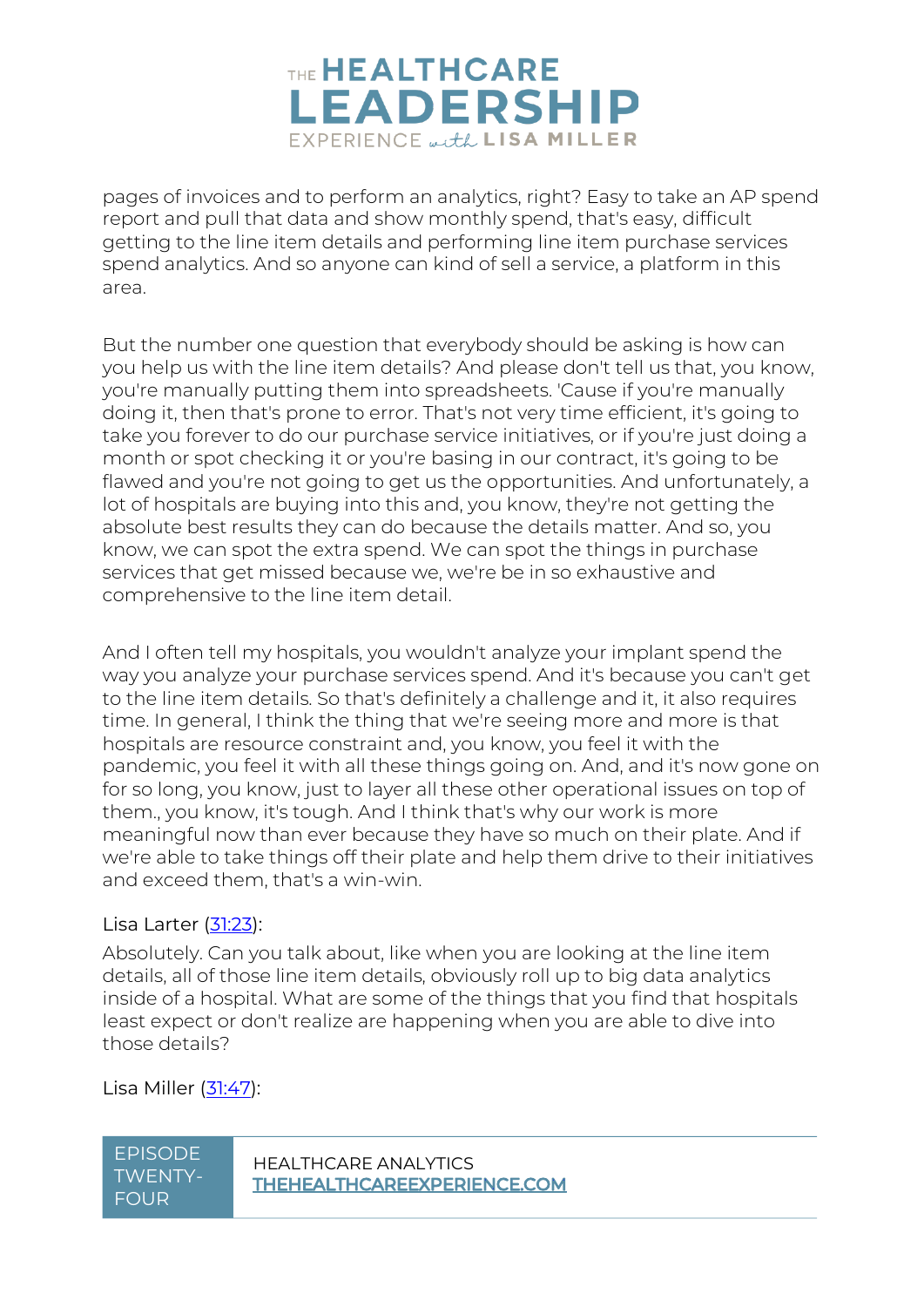

pages of invoices and to perform an analytics, right? Easy to take an AP spend report and pull that data and show monthly spend, that's easy, difficult getting to the line item details and performing line item purchase services spend analytics. And so anyone can kind of sell a service, a platform in this area.

But the number one question that everybody should be asking is how can you help us with the line item details? And please don't tell us that, you know, you're manually putting them into spreadsheets. 'Cause if you're manually doing it, then that's prone to error. That's not very time efficient, it's going to take you forever to do our purchase service initiatives, or if you're just doing a month or spot checking it or you're basing in our contract, it's going to be flawed and you're not going to get us the opportunities. And unfortunately, a lot of hospitals are buying into this and, you know, they're not getting the absolute best results they can do because the details matter. And so, you know, we can spot the extra spend. We can spot the things in purchase services that get missed because we, we're be in so exhaustive and comprehensive to the line item detail.

And I often tell my hospitals, you wouldn't analyze your implant spend the way you analyze your purchase services spend. And it's because you can't get to the line item details. So that's definitely a challenge and it, it also requires time. In general, I think the thing that we're seeing more and more is that hospitals are resource constraint and, you know, you feel it with the pandemic, you feel it with all these things going on. And, and it's now gone on for so long, you know, just to layer all these other operational issues on top of them., you know, it's tough. And I think that's why our work is more meaningful now than ever because they have so much on their plate. And if we're able to take things off their plate and help them drive to their initiatives and exceed them, that's a win-win.

#### Lisa Larter [\(31:23\)](https://www.rev.com/transcript-editor/Edit?token=yfXvqwS0yBAOuK6IXvBXQ8eqzTfE41BnZuaW6wRUREDXRT3hnZkqn0rMYFEMZ1SxxGAGaDdQk2XV0H2NkpgD8Yx0Vbc&loadFrom=DocumentDeeplink&ts=1883.06):

Absolutely. Can you talk about, like when you are looking at the line item details, all of those line item details, obviously roll up to big data analytics inside of a hospital. What are some of the things that you find that hospitals least expect or don't realize are happening when you are able to dive into those details?

Lisa Miller [\(31:47\)](https://www.rev.com/transcript-editor/Edit?token=s9cD_FSwvU832Y1EDPSi_CRTjStF3I2oytJ8L6hKV-zdO6qEFF1793mjWX6ouJzpi-ANE0aKMdwd6KDiPAg7bSliDh4&loadFrom=DocumentDeeplink&ts=1907.4):

| EPISODE     |
|-------------|
| 'TWENTY-    |
| <b>FOUR</b> |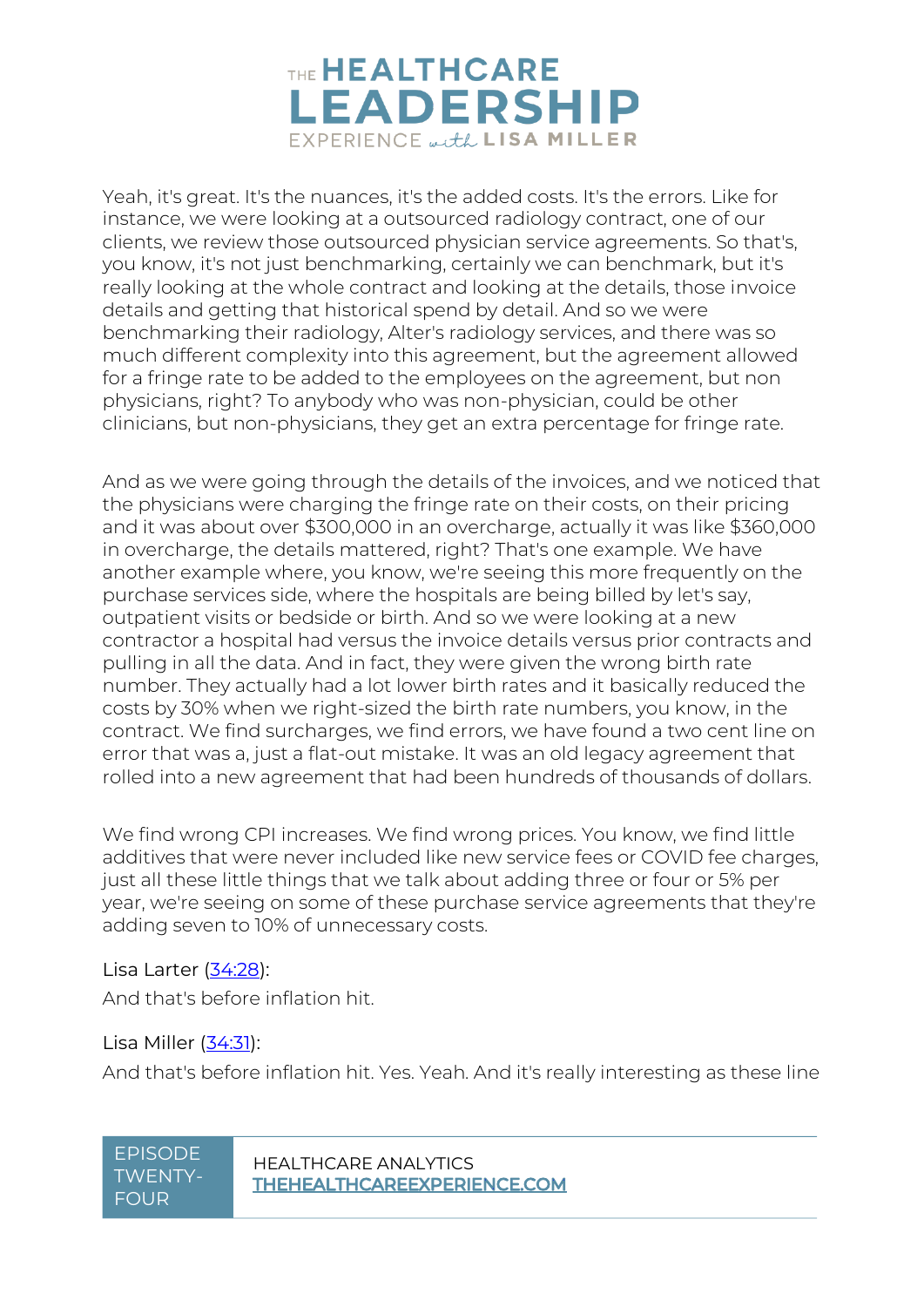

Yeah, it's great. It's the nuances, it's the added costs. It's the errors. Like for instance, we were looking at a outsourced radiology contract, one of our clients, we review those outsourced physician service agreements. So that's, you know, it's not just benchmarking, certainly we can benchmark, but it's really looking at the whole contract and looking at the details, those invoice details and getting that historical spend by detail. And so we were benchmarking their radiology, Alter's radiology services, and there was so much different complexity into this agreement, but the agreement allowed for a fringe rate to be added to the employees on the agreement, but non physicians, right? To anybody who was non-physician, could be other clinicians, but non-physicians, they get an extra percentage for fringe rate.

And as we were going through the details of the invoices, and we noticed that the physicians were charging the fringe rate on their costs, on their pricing and it was about over \$300,000 in an overcharge, actually it was like \$360,000 in overcharge, the details mattered, right? That's one example. We have another example where, you know, we're seeing this more frequently on the purchase services side, where the hospitals are being billed by let's say, outpatient visits or bedside or birth. And so we were looking at a new contractor a hospital had versus the invoice details versus prior contracts and pulling in all the data. And in fact, they were given the wrong birth rate number. They actually had a lot lower birth rates and it basically reduced the costs by 30% when we right-sized the birth rate numbers, you know, in the contract. We find surcharges, we find errors, we have found a two cent line on error that was a, just a flat-out mistake. It was an old legacy agreement that rolled into a new agreement that had been hundreds of thousands of dollars.

We find wrong CPI increases. We find wrong prices. You know, we find little additives that were never included like new service fees or COVID fee charges, just all these little things that we talk about adding three or four or 5% per year, we're seeing on some of these purchase service agreements that they're adding seven to 10% of unnecessary costs.

#### Lisa Larter [\(34:28\)](https://www.rev.com/transcript-editor/Edit?token=BR_sKOZ6Ymf_jXUXaL29Zpsv7xC_BdFrY_Hw7cVLUyjYkaCM4zjsEs7sjctNJLbmR-JP0i5qrvYDOLplBSo2b6YPYxk&loadFrom=DocumentDeeplink&ts=2068.4):

And that's before inflation hit.

#### Lisa Miller [\(34:31\)](https://www.rev.com/transcript-editor/Edit?token=7veJnViwbT0A26wI3_k18Kwqi79Qq0yvQ-rllRUe2kZ5ELWeVH9xdiZZDv2IvIo7Vr38Q3tMiRfqfW73L8jxngct54A&loadFrom=DocumentDeeplink&ts=2071.19):

And that's before inflation hit. Yes. Yeah. And it's really interesting as these line

## TWENTY-FOUR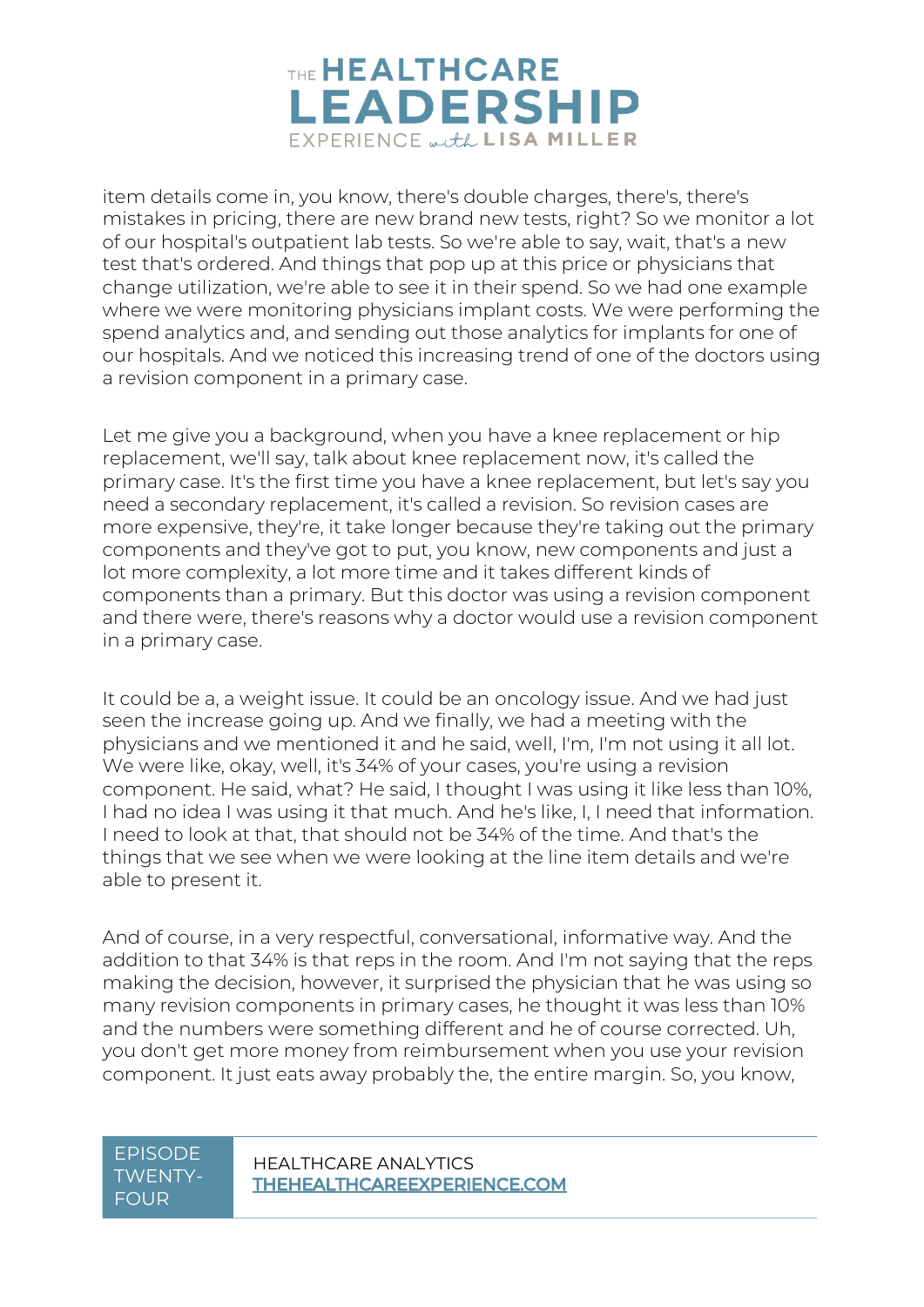

item details come in, you know, there's double charges, there's, there's mistakes in pricing, there are new brand new tests, right? So we monitor a lot of our hospital's outpatient lab tests. So we're able to say, wait, that's a new test that's ordered. And things that pop up at this price or physicians that change utilization, we're able to see it in their spend. So we had one example where we were monitoring physicians implant costs. We were performing the spend analytics and, and sending out those analytics for implants for one of our hospitals. And we noticed this increasing trend of one of the doctors using a revision component in a primary case.

Let me give you a background, when you have a knee replacement or hip replacement, we'll say, talk about knee replacement now, it's called the primary case. It's the first time you have a knee replacement, but let's say you need a secondary replacement, it's called a revision. So revision cases are more expensive, they're, it take longer because they're taking out the primary components and they've got to put, you know, new components and just a lot more complexity, a lot more time and it takes different kinds of components than a primary. But this doctor was using a revision component and there were, there's reasons why a doctor would use a revision component in a primary case.

It could be a, a weight issue. It could be an oncology issue. And we had just seen the increase going up. And we finally, we had a meeting with the physicians and we mentioned it and he said, well, I'm, I'm not using it all lot. We were like, okay, well, it's 34% of your cases, you're using a revision component. He said, what? He said, I thought I was using it like less than 10%, I had no idea I was using it that much. And he's like, I, I need that information. I need to look at that, that should not be 34% of the time. And that's the things that we see when we were looking at the line item details and we're able to present it.

And of course, in a very respectful, conversational, informative way. And the addition to that 34% is that reps in the room. And I'm not saying that the reps making the decision, however, it surprised the physician that he was using so many revision components in primary cases, he thought it was less than 10% and the numbers were something different and he of course corrected. Uh, you don't get more money from reimbursement when you use your revision component. It just eats away probably the, the entire margin. So, you know,

### TWENTY-FOUR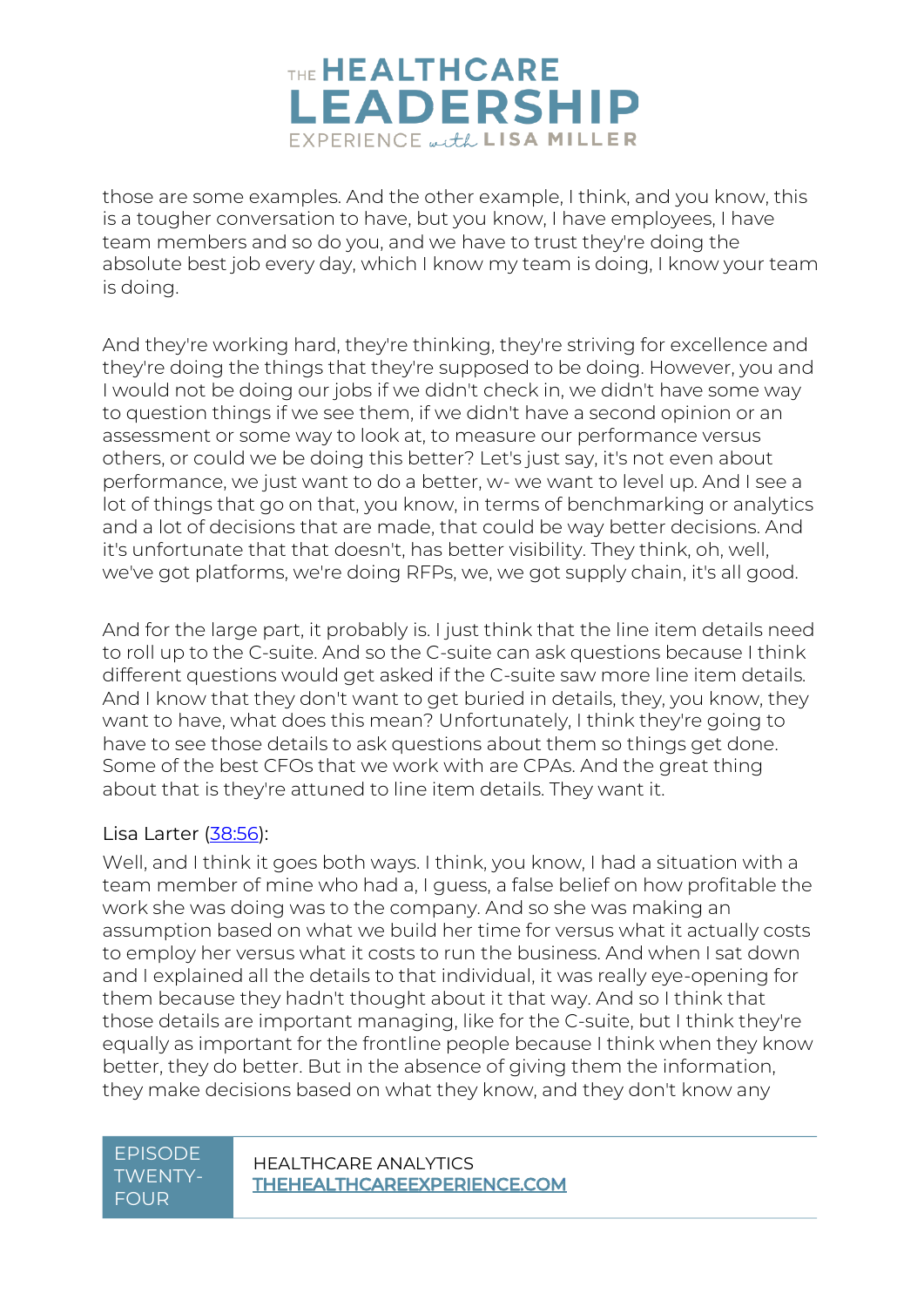

those are some examples. And the other example, I think, and you know, this is a tougher conversation to have, but you know, I have employees, I have team members and so do you, and we have to trust they're doing the absolute best job every day, which I know my team is doing, I know your team is doing.

And they're working hard, they're thinking, they're striving for excellence and they're doing the things that they're supposed to be doing. However, you and I would not be doing our jobs if we didn't check in, we didn't have some way to question things if we see them, if we didn't have a second opinion or an assessment or some way to look at, to measure our performance versus others, or could we be doing this better? Let's just say, it's not even about performance, we just want to do a better, w- we want to level up. And I see a lot of things that go on that, you know, in terms of benchmarking or analytics and a lot of decisions that are made, that could be way better decisions. And it's unfortunate that that doesn't, has better visibility. They think, oh, well, we've got platforms, we're doing RFPs, we, we got supply chain, it's all good.

And for the large part, it probably is. I just think that the line item details need to roll up to the C-suite. And so the C-suite can ask questions because I think different questions would get asked if the C-suite saw more line item details. And I know that they don't want to get buried in details, they, you know, they want to have, what does this mean? Unfortunately, I think they're going to have to see those details to ask questions about them so things get done. Some of the best CFOs that we work with are CPAs. And the great thing about that is they're attuned to line item details. They want it.

#### Lisa Larter [\(38:56\)](https://www.rev.com/transcript-editor/Edit?token=UgBRwynXR0uXAtger2LbwwREO9LVmeRO667z0TgZt4UuR2-KJqheLpvisPnoCszzvppoOA5iVRy4sqL0bTrVD0AmwAM&loadFrom=DocumentDeeplink&ts=2336.82):

Well, and I think it goes both ways. I think, you know, I had a situation with a team member of mine who had a, I guess, a false belief on how profitable the work she was doing was to the company. And so she was making an assumption based on what we build her time for versus what it actually costs to employ her versus what it costs to run the business. And when I sat down and I explained all the details to that individual, it was really eye-opening for them because they hadn't thought about it that way. And so I think that those details are important managing, like for the C-suite, but I think they're equally as important for the frontline people because I think when they know better, they do better. But in the absence of giving them the information, they make decisions based on what they know, and they don't know any

### TWENTY-FOUR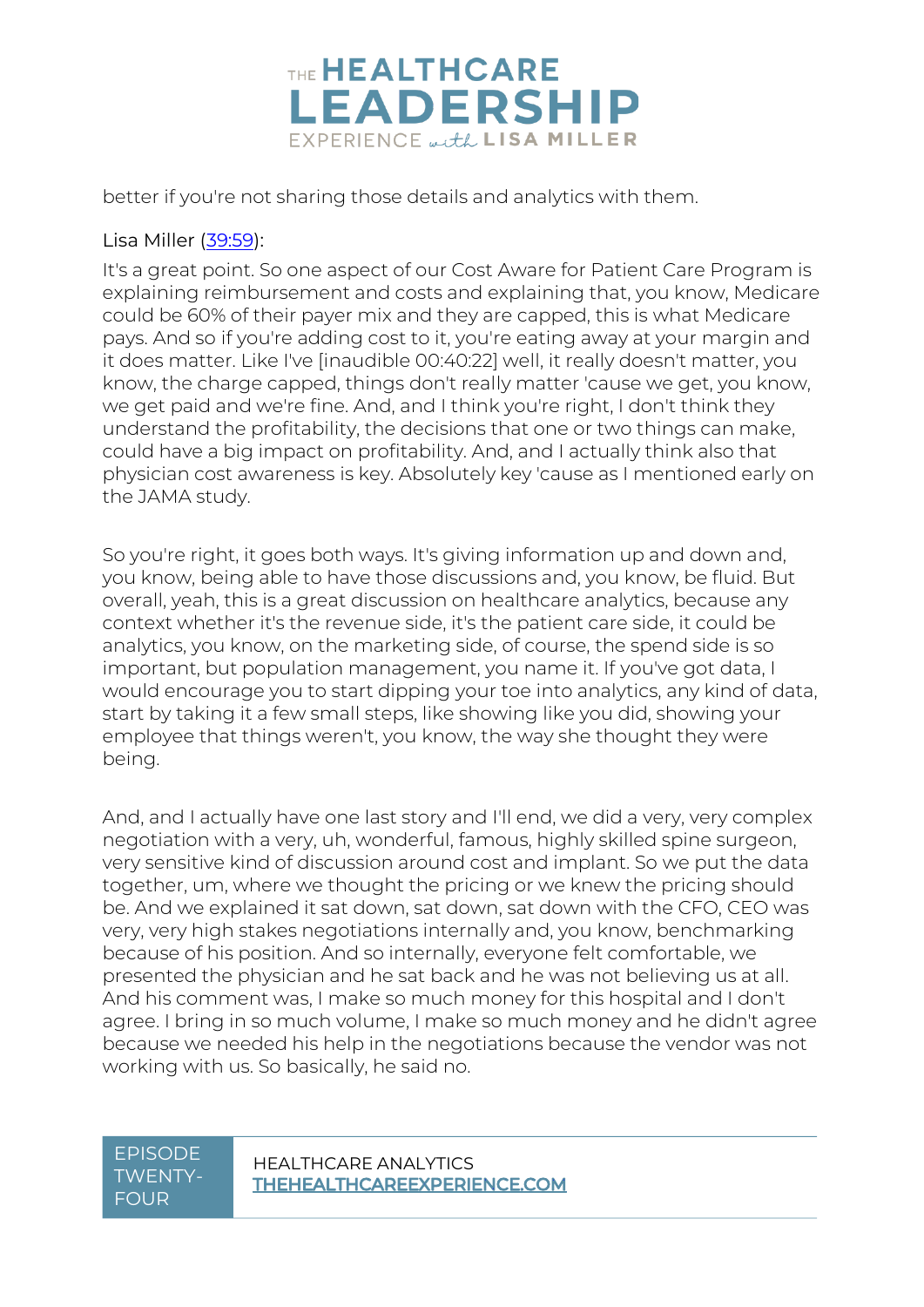

better if you're not sharing those details and analytics with them.

#### Lisa Miller [\(39:59\)](https://www.rev.com/transcript-editor/Edit?token=FIHuFwSIYcWsNghBljIinpDyneTpBf5Z-A26BuBS7hsgIOrN0PizeSrV2bfcQ_J0UXJznZDlva489vNzPVOt-AYONsk&loadFrom=DocumentDeeplink&ts=2399.48):

It's a great point. So one aspect of our Cost Aware for Patient Care Program is explaining reimbursement and costs and explaining that, you know, Medicare could be 60% of their payer mix and they are capped, this is what Medicare pays. And so if you're adding cost to it, you're eating away at your margin and it does matter. Like I've [inaudible 00:40:22] well, it really doesn't matter, you know, the charge capped, things don't really matter 'cause we get, you know, we get paid and we're fine. And, and I think you're right, I don't think they understand the profitability, the decisions that one or two things can make, could have a big impact on profitability. And, and I actually think also that physician cost awareness is key. Absolutely key 'cause as I mentioned early on the JAMA study.

So you're right, it goes both ways. It's giving information up and down and, you know, being able to have those discussions and, you know, be fluid. But overall, yeah, this is a great discussion on healthcare analytics, because any context whether it's the revenue side, it's the patient care side, it could be analytics, you know, on the marketing side, of course, the spend side is so important, but population management, you name it. If you've got data, I would encourage you to start dipping your toe into analytics, any kind of data, start by taking it a few small steps, like showing like you did, showing your employee that things weren't, you know, the way she thought they were being.

And, and I actually have one last story and I'll end, we did a very, very complex negotiation with a very, uh, wonderful, famous, highly skilled spine surgeon, very sensitive kind of discussion around cost and implant. So we put the data together, um, where we thought the pricing or we knew the pricing should be. And we explained it sat down, sat down, sat down with the CFO, CEO was very, very high stakes negotiations internally and, you know, benchmarking because of his position. And so internally, everyone felt comfortable, we presented the physician and he sat back and he was not believing us at all. And his comment was, I make so much money for this hospital and I don't agree. I bring in so much volume, I make so much money and he didn't agree because we needed his help in the negotiations because the vendor was not working with us. So basically, he said no.

### TWENTY-FOUR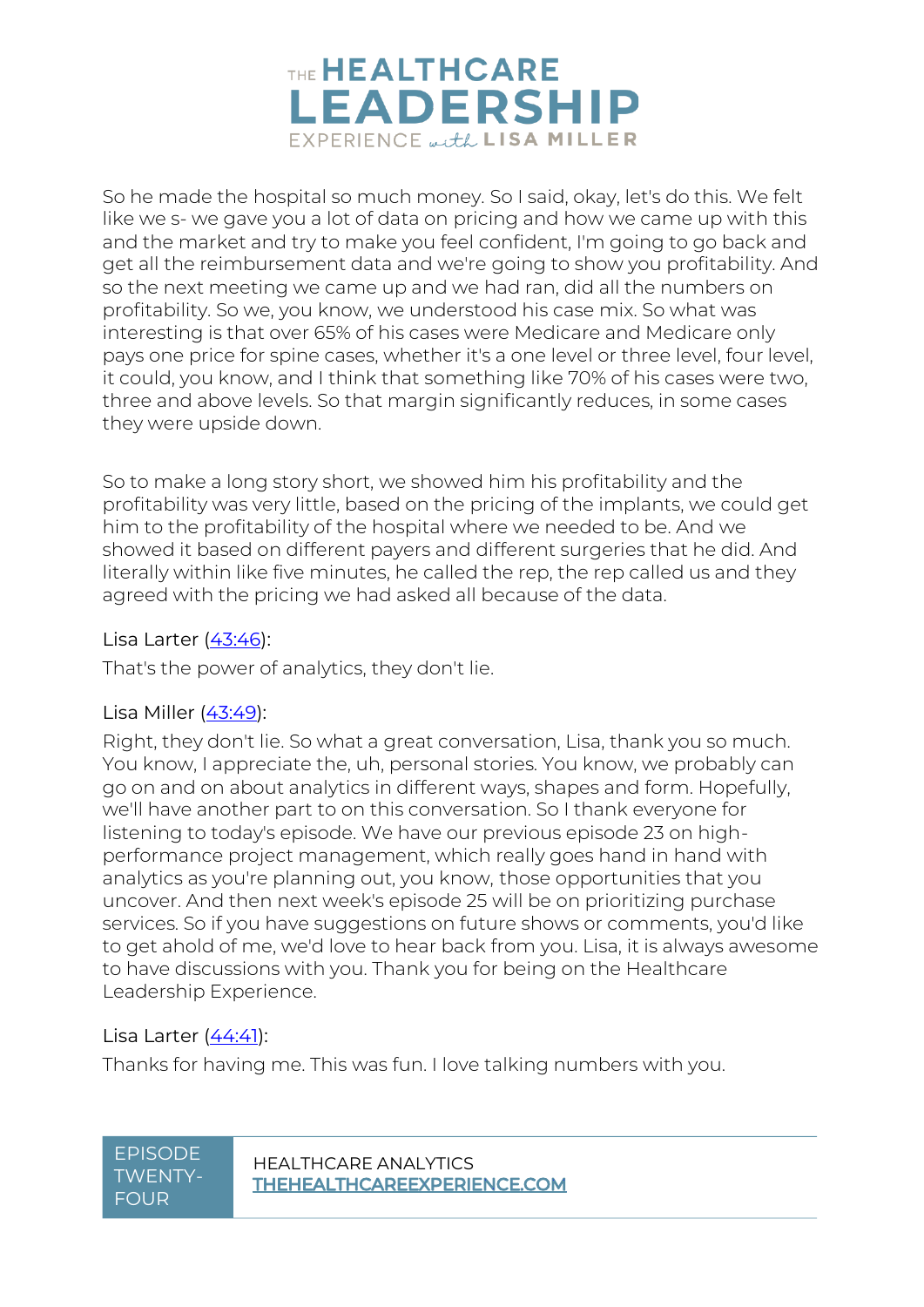

So he made the hospital so much money. So I said, okay, let's do this. We felt like we s- we gave you a lot of data on pricing and how we came up with this and the market and try to make you feel confident, I'm going to go back and get all the reimbursement data and we're going to show you profitability. And so the next meeting we came up and we had ran, did all the numbers on profitability. So we, you know, we understood his case mix. So what was interesting is that over 65% of his cases were Medicare and Medicare only pays one price for spine cases, whether it's a one level or three level, four level, it could, you know, and I think that something like 70% of his cases were two, three and above levels. So that margin significantly reduces, in some cases they were upside down.

So to make a long story short, we showed him his profitability and the profitability was very little, based on the pricing of the implants, we could get him to the profitability of the hospital where we needed to be. And we showed it based on different payers and different surgeries that he did. And literally within like five minutes, he called the rep, the rep called us and they agreed with the pricing we had asked all because of the data.

#### Lisa Larter [\(43:46\)](https://www.rev.com/transcript-editor/Edit?token=WrPIHapm9bFx39Gks1uP9ZQHlVTLMqkzZeGHTa0NSPicUT6Cggufi2GKwVYoPctTy0p7MBQPhaIWQ05bUVWpODLqG74&loadFrom=DocumentDeeplink&ts=2626.43):

That's the power of analytics, they don't lie.

#### Lisa Miller [\(43:49\)](https://www.rev.com/transcript-editor/Edit?token=fAQ1KYO0QqHXo4jQfsWDLU-2C8l8QCc1A9Hhrj3wqnts08hKQlabLQqSm-vym9z1ZBREJfFa59RFeHPU8AoKDJKlgB8&loadFrom=DocumentDeeplink&ts=2629.89):

Right, they don't lie. So what a great conversation, Lisa, thank you so much. You know, I appreciate the, uh, personal stories. You know, we probably can go on and on about analytics in different ways, shapes and form. Hopefully, we'll have another part to on this conversation. So I thank everyone for listening to today's episode. We have our previous episode 23 on highperformance project management, which really goes hand in hand with analytics as you're planning out, you know, those opportunities that you uncover. And then next week's episode 25 will be on prioritizing purchase services. So if you have suggestions on future shows or comments, you'd like to get ahold of me, we'd love to hear back from you. Lisa, it is always awesome to have discussions with you. Thank you for being on the Healthcare Leadership Experience.

#### Lisa Larter [\(44:41\)](https://www.rev.com/transcript-editor/Edit?token=QPowte6ssfXIZSHJStIl7oCaAVB8ZfjdiLcA16vBpxlX6UPqBZJjfuUyPP5nwOUQLJJGhGUZkGVnEzC6Dqq8F-J9ucU&loadFrom=DocumentDeeplink&ts=2681.41):

Thanks for having me. This was fun. I love talking numbers with you.

## TWENTY-FOUR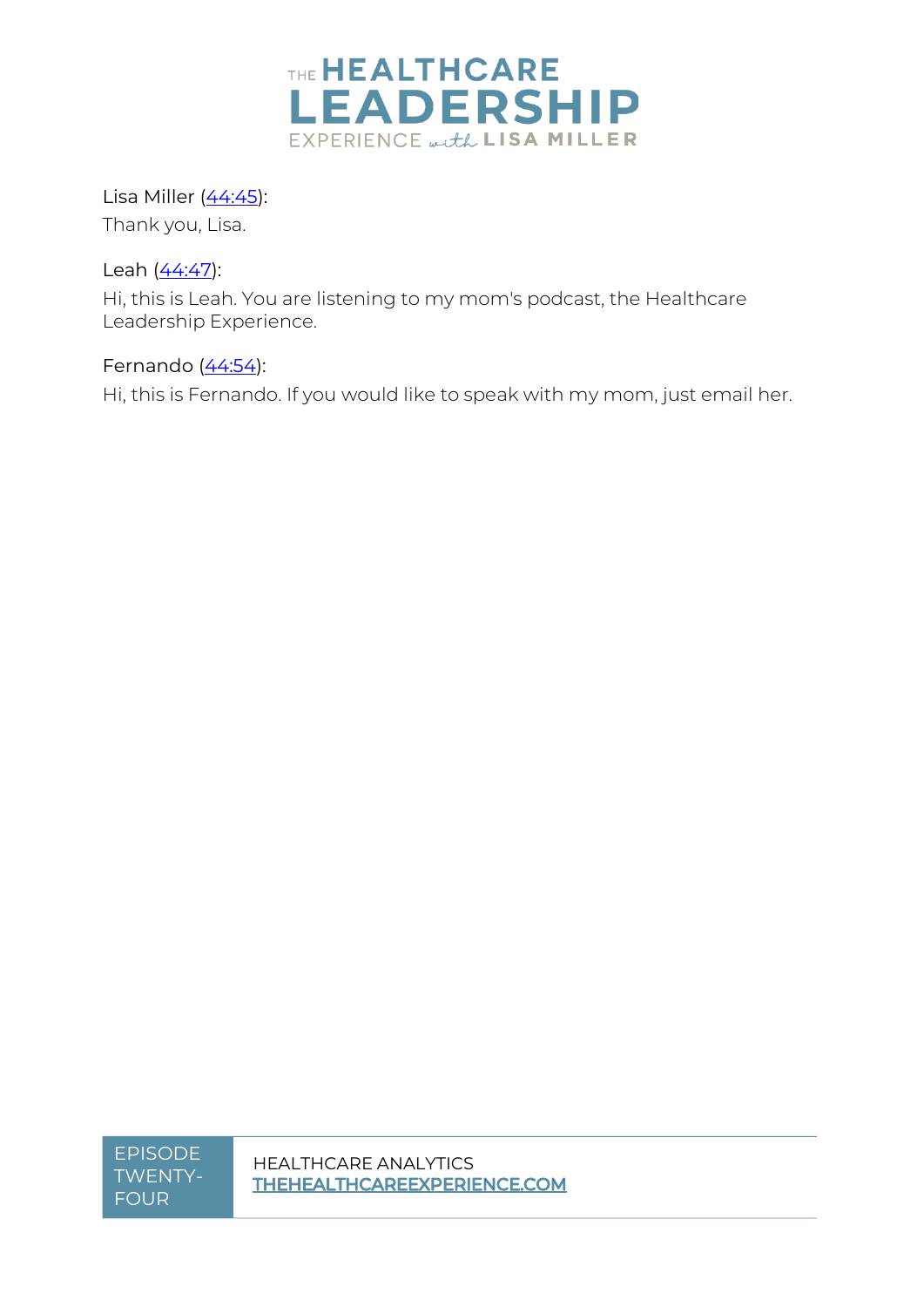

Lisa Miller [\(44:45\)](https://www.rev.com/transcript-editor/Edit?token=pnNyZYgBk0CMrVL-hQX60JwqXCi0Zs2kCEEMcqpiDYnH1g34w731k_zL3yEgZ3VYbdjIRfkcRjRV0cW4_FJg7gdA3Ro&loadFrom=DocumentDeeplink&ts=2685.78): Thank you, Lisa.

Leah [\(44:47\)](https://www.rev.com/transcript-editor/Edit?token=_AneN1iNbjlTHw5y-IZ9BayVeghOCtpPost-qFM6tHaLWgRFXQe6lB5Uw8t-aDPVNq-ruolCc9C7Cr_ntgwwxmm-Auw&loadFrom=DocumentDeeplink&ts=2687.55):

Hi, this is Leah. You are listening to my mom's podcast, the Healthcare Leadership Experience.

Fernando  $(44:54)$ :

Hi, this is Fernando. If you would like to speak with my mom, just email her.